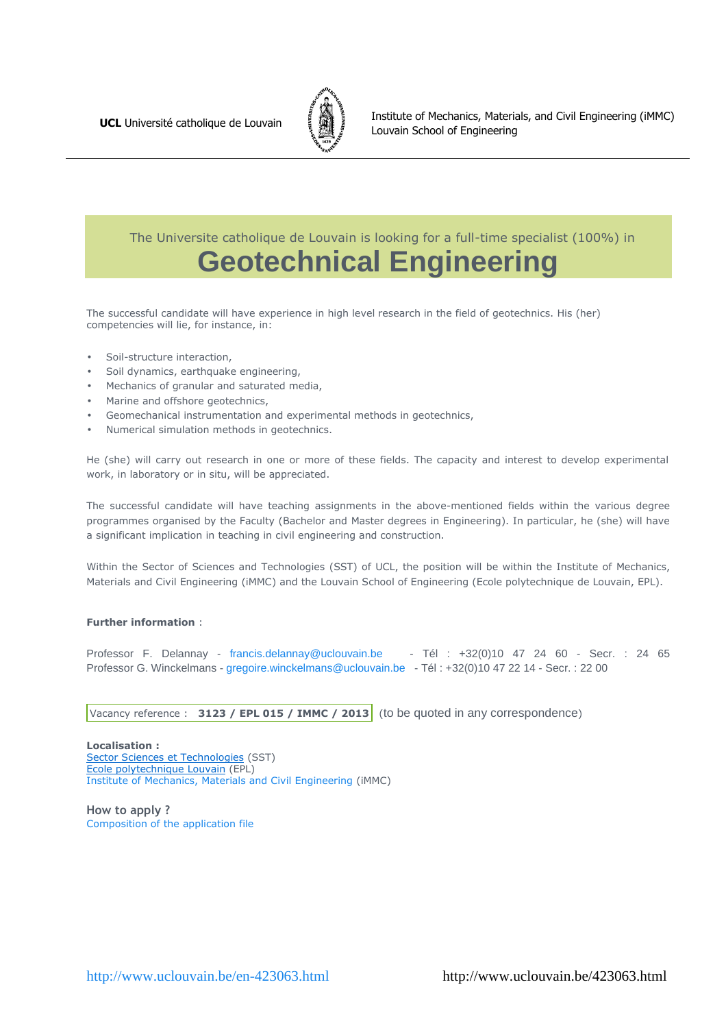

 The Universite catholique de Louvain is looking for a full-time specialist (100%) in **Geotechnical Engineering**

The successful candidate will have experience in high level research in the field of geotechnics. His (her) competencies will lie, for instance, in:

- Soil-structure interaction,
- Soil dynamics, earthquake engineering,
- Mechanics of granular and saturated media,
- Marine and offshore geotechnics,
- Geomechanical instrumentation and experimental methods in geotechnics,
- Numerical simulation methods in geotechnics.

He (she) will carry out research in one or more of these fields. The capacity and interest to develop experimental work, in laboratory or in situ, will be appreciated.

The successful candidate will have teaching assignments in the above-mentioned fields within the various degree programmes organised by the Faculty (Bachelor and Master degrees in Engineering). In particular, he (she) will have a significant implication in teaching in civil engineering and construction.

Within the Sector of Sciences and Technologies (SST) of UCL, the position will be within the Institute of Mechanics, Materials and Civil Engineering (iMMC) and the Louvain School of Engineering (Ecole polytechnique de Louvain, EPL).

#### **Further information** :

Professor F. Delannay - francis.delannay@uclouvain.be - Tél : +32(0)10 47 24 60 - Secr. : 24 65 Professor G. Winckelmans - gregoire.winckelmans@uclouvain.be - Tél : +32(0)10 47 22 14 - Secr. : 22 00

Vacancy reference : **3123 / EPL 015 / IMMC / 2013** (to be quoted in any correspondence)

**Localisation :** Sector Sciences et Technologies (SST) Ecole polytechnique Louvain (EPL) Institute of Mechanics, Materials and Civil Engineering (iMMC)

**How to apply ?**  Composition of the application file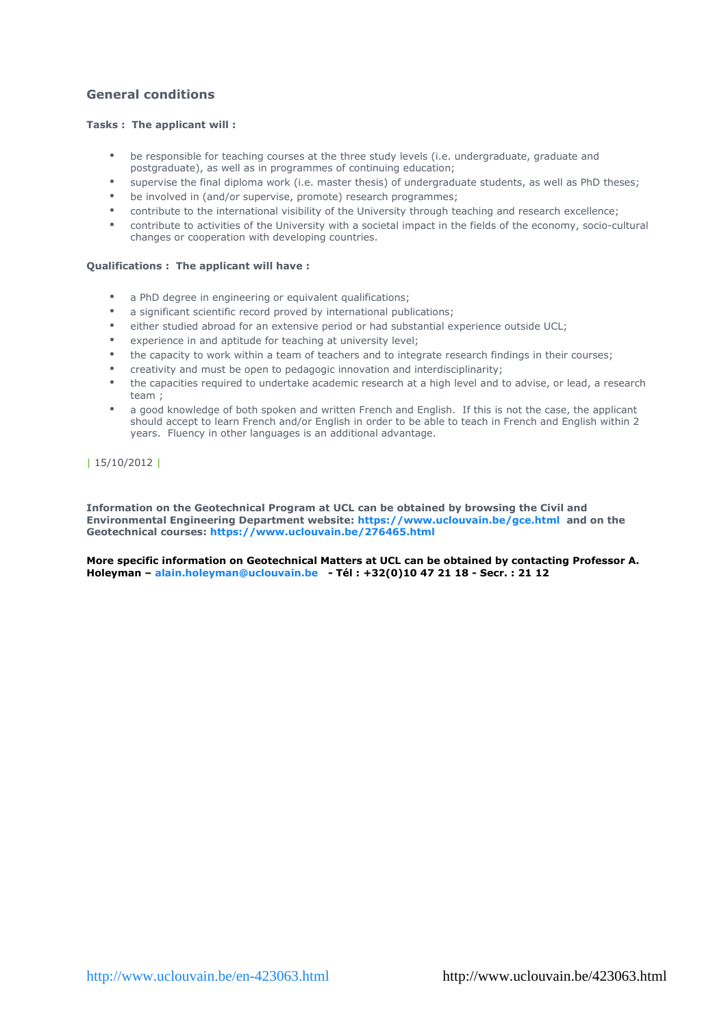# **General conditions**

# **Tasks : The applicant will :**

- be responsible for teaching courses at the three study levels (i.e. undergraduate, graduate and postgraduate), as well as in programmes of continuing education;
- supervise the final diploma work (i.e. master thesis) of undergraduate students, as well as PhD theses;
- be involved in (and/or supervise, promote) research programmes;
- contribute to the international visibility of the University through teaching and research excellence;
- contribute to activities of the University with a societal impact in the fields of the economy, socio-cultural changes or cooperation with developing countries.

## **Qualifications : The applicant will have :**

- a PhD degree in engineering or equivalent qualifications;
- a significant scientific record proved by international publications;
- either studied abroad for an extensive period or had substantial experience outside UCL;
- experience in and aptitude for teaching at university level;
- the capacity to work within a team of teachers and to integrate research findings in their courses;
- creativity and must be open to pedagogic innovation and interdisciplinarity;
- the capacities required to undertake academic research at a high level and to advise, or lead, a research team ;
- a good knowledge of both spoken and written French and English. If this is not the case, the applicant should accept to learn French and/or English in order to be able to teach in French and English within 2 years. Fluency in other languages is an additional advantage.

| 15/10/2012 |

**Information on the Geotechnical Program at UCL can be obtained by browsing the Civil and Environmental Engineering Department website: https://www.uclouvain.be/gce.html and on the Geotechnical courses: https://www.uclouvain.be/276465.html**

**More specific information on Geotechnical Matters at UCL can be obtained by contacting Professor A. Holeyman – alain.holeyman@uclouvain.be - Tél : +32(0)10 47 21 18 - Secr. : 21 12**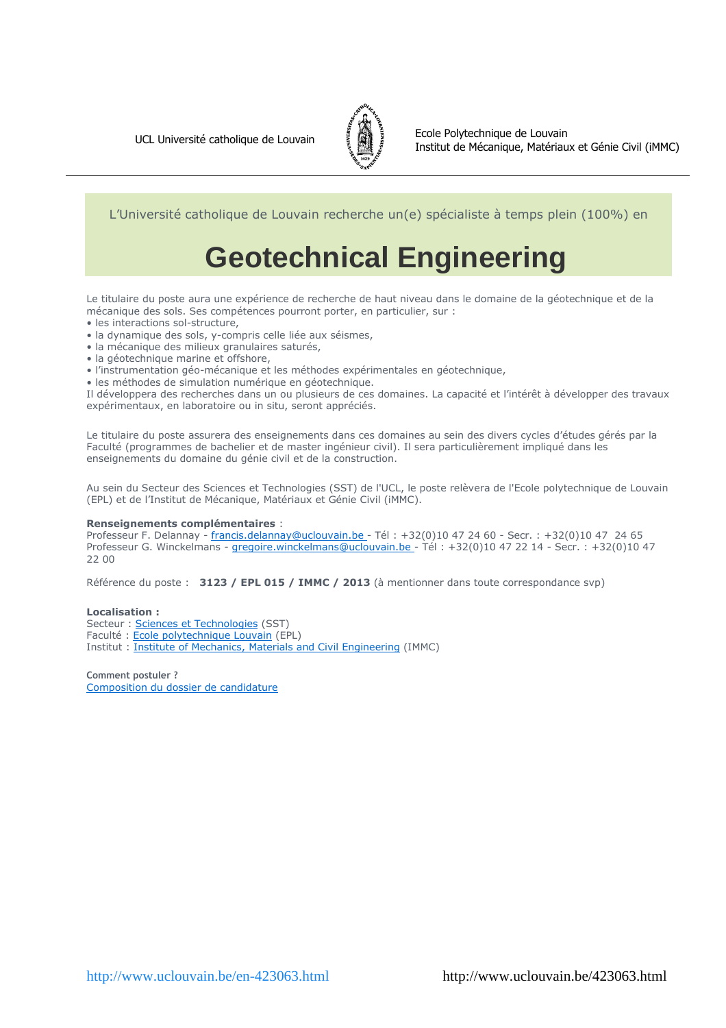

L'Université catholique de Louvain recherche un(e) spécialiste à temps plein (100%) en

# **Geotechnical Engineering**

Le titulaire du poste aura une expérience de recherche de haut niveau dans le domaine de la géotechnique et de la mécanique des sols. Ses compétences pourront porter, en particulier, sur :

- les interactions sol-structure,
- la dynamique des sols, y-compris celle liée aux séismes,
- la mécanique des milieux granulaires saturés,
- la géotechnique marine et offshore,
- l'instrumentation géo-mécanique et les méthodes expérimentales en géotechnique,
- les méthodes de simulation numérique en géotechnique.

Il développera des recherches dans un ou plusieurs de ces domaines. La capacité et l'intérêt à développer des travaux expérimentaux, en laboratoire ou in situ, seront appréciés.

Le titulaire du poste assurera des enseignements dans ces domaines au sein des divers cycles d'études gérés par la Faculté (programmes de bachelier et de master ingénieur civil). Il sera particulièrement impliqué dans les enseignements du domaine du génie civil et de la construction.

Au sein du Secteur des Sciences et Technologies (SST) de l'UCL, le poste relèvera de l'Ecole polytechnique de Louvain (EPL) et de l'Institut de Mécanique, Matériaux et Génie Civil (iMMC).

#### **Renseignements complémentaires** :

Professeur F. Delannay - francis.delannay@uclouvain.be - Tél : +32(0)10 47 24 60 - Secr. : +32(0)10 47 24 65 Professeur G. Winckelmans - gregoire.winckelmans@uclouvain.be - Tél : +32(0)10 47 22 14 - Secr. : +32(0)10 47 22 00

Référence du poste : **3123 / EPL 015 / IMMC / 2013** (à mentionner dans toute correspondance svp)

#### **Localisation :**

Secteur : Sciences et Technologies (SST) Faculté : Ecole polytechnique Louvain (EPL) Institut : Institute of Mechanics, Materials and Civil Engineering (IMMC)

**Comment postuler ?**  Composition du dossier de candidature